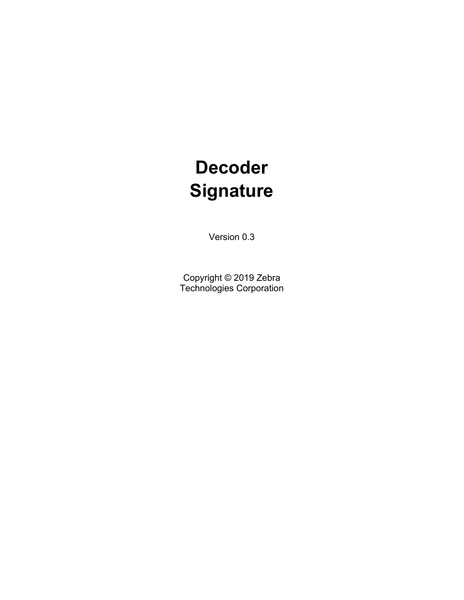# **Decoder Signature**

Version 0.3

Copyright © 2019 Zebra Technologies Corporation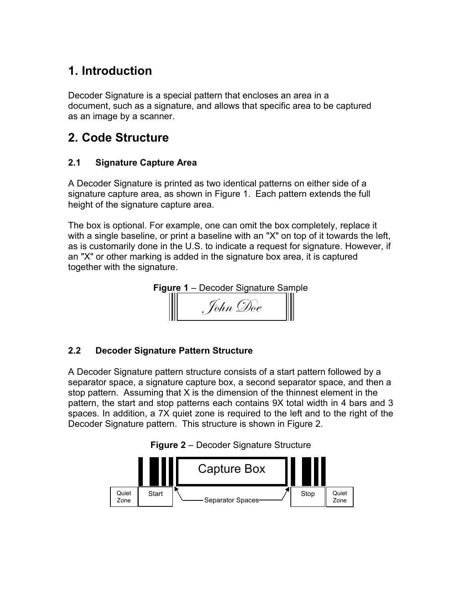# 1. Introduction

Decoder Signature is a special pattern that encloses an area in a document, such as a signature, and allows that specific area to be captured as an image by a scanner.

### 2. Code Structure

#### 2.1 Signature Capture Area

A Decoder Signature is printed as two identical patterns on either side of a signature capture area, as shown in Figure 1. Each pattern extends the full height of the signature capture area.

The box is optional. For example, one can omit the box completely, replace it with a single baseline, or print a baseline with an "X" on top of it towards the left, as is customarily done in the U.S. to indicate a request for signature. However, if an "X" or other marking is added in the signature box area, it is captured together with the signature.



#### 2.2 **Decoder Signature** Pattern Structure

A Decoder Signature pattern structure consists of a start pattern followed by a separator space, a signature capture box, a second separator space, and then a stop pattern. Assuming that X is the dimension of the thinnest element in the pattern, the start and stop patterns each contains 9X total width in 4 bars and 3 spaces. In addition, a 7X quiet zone is required to the left and to the right of the Decoder Signature pattern. This structure is shown in Figure 2.



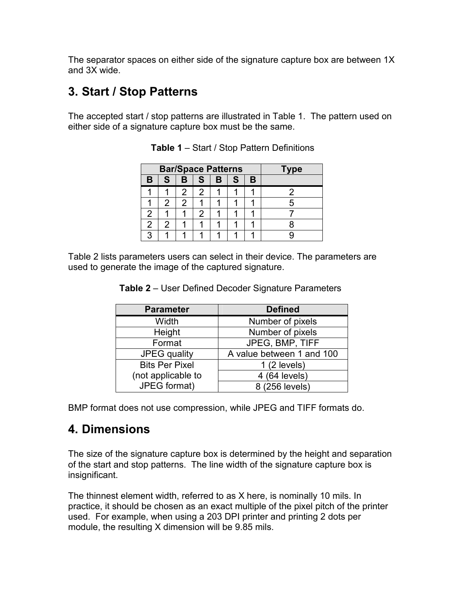The separator spaces on either side of the signature capture box are between 1X and 3X wide.

# 3. Start / Stop Patterns

The accepted start / stop patterns are illustrated in Table 1. The pattern used on either side of a signature capture box must be the same.

|   |              | <b>Bar/Space Patterns</b> | <b>Type</b> |   |   |   |  |
|---|--------------|---------------------------|-------------|---|---|---|--|
| B | $\mathbf{s}$ | B                         | l S         | B | S | B |  |
|   |              | 2                         | 2           |   |   |   |  |
|   | 2            | 2                         |             |   |   |   |  |
| 2 |              |                           | 2           |   |   |   |  |
| 2 | 2            |                           |             |   |   |   |  |
|   |              |                           |             |   |   |   |  |

**Table 1** – Start / Stop Pattern Definitions

Table 2 lists parameters users can select in their device. The parameters are used to generate the image of the captured signature.

| <b>Parameter</b>      | <b>Defined</b>            |  |  |  |
|-----------------------|---------------------------|--|--|--|
| Width                 | Number of pixels          |  |  |  |
| Height                | Number of pixels          |  |  |  |
| Format                | JPEG, BMP, TIFF           |  |  |  |
| JPEG quality          | A value between 1 and 100 |  |  |  |
| <b>Bits Per Pixel</b> | 1(2 levels)               |  |  |  |
| (not applicable to    | 4 (64 levels)             |  |  |  |
| JPEG format)          | 8 (256 levels)            |  |  |  |

**Table 2** – User Defined Decoder Signature Parameters

BMP format does not use compression, while JPEG and TIFF formats do.

### 4. Dimensions

The size of the signature capture box is determined by the height and separation of the start and stop patterns. The line width of the signature capture box is insignificant.

The thinnest element width, referred to as X here, is nominally 10 mils. In practice, it should be chosen as an exact multiple of the pixel pitch of the printer used. For example, when using a 203 DPI printer and printing 2 dots per module, the resulting X dimension will be 9.85 mils.